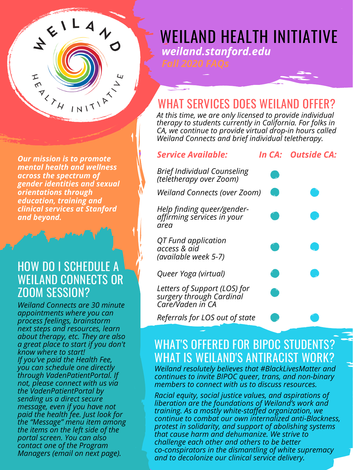*Brief Individual Counseling (teletherapy over Zoom) Weiland Connects (over Zoom)*

*QT Fund application*

*access & aid (available week 5-7)*

*Queer Yoga (virtual)*

*Letters of Support (LOS) for surgery through Cardinal Care/Vaden in CA*

#### WEILAND CONNECTS OR HOW DO I SCHEDULE A ZOOM SESSION?

*Referrals for LOS out of state*

#### *Service Available: In CA: Outside CA:*



*Help finding queer/genderaffirming services in your area*

*weiland.stanford.edu a great place to start if you don't Weiland Connects are 30 minute appointments where you can process feelings, brainstorm next steps and resources, learn about therapy, etc. They are also know where to start! If you've paid the Health Fee, you can schedule one directly through VadenPatientPortal. If not, please connect with us via the VadenPatientPortal by sending us a direct secure message, even if you have not paid the health fee. Just look for the "Message" menu item among the items on the left side of the portal screen. You can also contact one of the Program Managers (email on next page).*

#### WHAT'S OFFERED FOR BIPOC STUDENTS? WHAT IS WEILAND'S ANTIRACIST WORK?

WEILAND HEALTH INITIATIVE *weiland.stanford.edu*

*Weiland resolutely believes that #BlackLivesMatter and continues to invite BIPOC queer, trans, and non-binary members to connect with us to discuss resources.*

*Racial equity, social justice values, and aspirations of liberation are the foundations of Weiland's work and training. As a mostly white-staffed organization, we continue to combat our own internalized anti-Blackness, protest in solidarity, and support of abolishing systems that cause harm and dehumanize. We strive to challenge each other and others to be better co-conspirators in the dismantling of white supremacy and to decolonize our clinical service delivery.*

## WHAT SERVICES DOES WEILAND OFFER?

*At this time, we are only licensed to provide individual therapy to students currently in California. For folks in CA, we continue to provide virtual drop-in hours called Weiland Connects and brief individual teletherapy.*

*Our mission is to promote mental health and wellness across the spectrum of gender identities and sexual orientations through education, training and clinical services at Stanford and beyond.*

 $\left(\frac{1}{2}\right)^{2}$